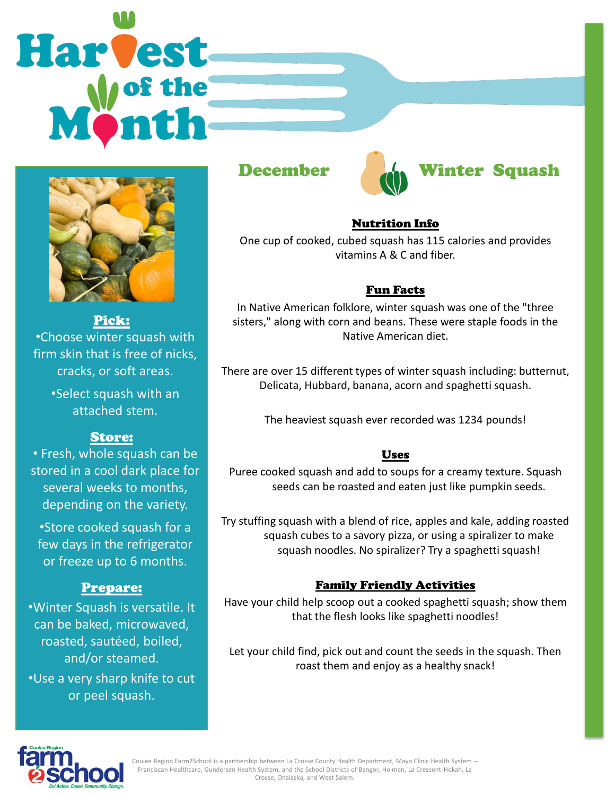# Harvest



Pick: •Choose winter squash with firm skin that is free of nicks, cracks, or soft areas. •Select squash with an

attached stem.

## Store:

• Fresh, whole squash can be stored in a cool dark place for several weeks to months, depending on the variety.

•Store cooked squash for a few days in the refrigerator or freeze up to 6 months.

### Prepare:

•Winter Squash is versatile. It can be baked, microwaved, roasted, sautéed, boiled, and/or steamed. •Use a very sharp knife to cut or peel squash.





### Nutrition Info

One cup of cooked, cubed squash has 115 calories and provides vitamins A & C and fiber.

### Fun Facts

In Native American folklore, winter squash was one of the "three sisters," along with corn and beans. These were staple foods in the Native American diet.

There are over 15 different types of winter squash including: butternut, Delicata, Hubbard, banana, acorn and spaghetti squash.

The heaviest squash ever recorded was 1234 pounds!

### Uses

Puree cooked squash and add to soups for a creamy texture. Squash seeds can be roasted and eaten just like pumpkin seeds.

Try stuffing squash with a blend of rice, apples and kale, adding roasted squash cubes to a savory pizza, or using a spiralizer to make squash noodles. No spiralizer? Try a spaghetti squash!

### Family Friendly Activities

Have your child help scoop out a cooked spaghetti squash; show them that the flesh looks like spaghetti noodles!

Let your child find, pick out and count the seeds in the squash. Then roast them and enjoy as a healthy snack!